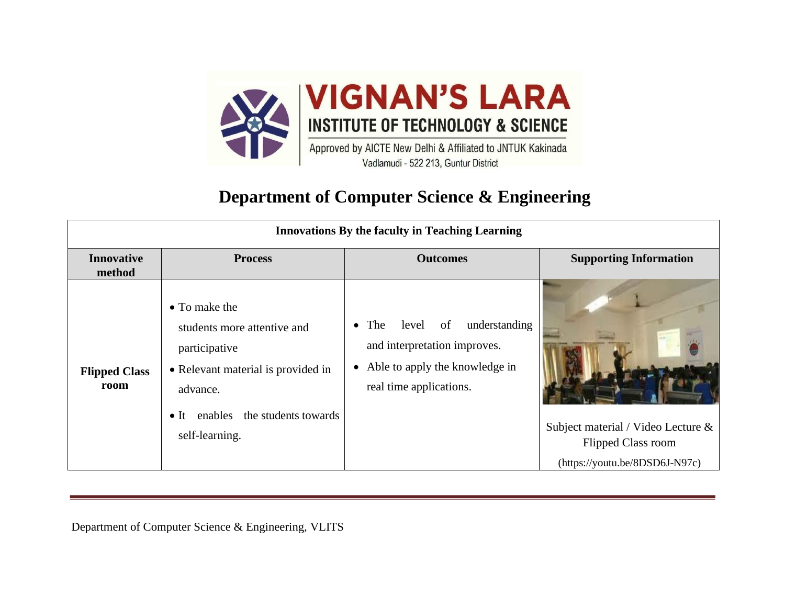

## **Department of Computer Science & Engineering**

| <b>Innovations By the faculty in Teaching Learning</b> |                                                                                                                                                                        |                                                                                                                                         |                                                                                                   |
|--------------------------------------------------------|------------------------------------------------------------------------------------------------------------------------------------------------------------------------|-----------------------------------------------------------------------------------------------------------------------------------------|---------------------------------------------------------------------------------------------------|
| <b>Innovative</b><br>method                            | <b>Process</b>                                                                                                                                                         | <b>Outcomes</b>                                                                                                                         | <b>Supporting Information</b>                                                                     |
| <b>Flipped Class</b><br>room                           | • To make the<br>students more attentive and<br>participative<br>• Relevant material is provided in<br>advance.<br>• It enables the students towards<br>self-learning. | level of<br>understanding<br>$\bullet$ The<br>and interpretation improves.<br>Able to apply the knowledge in<br>real time applications. | Subject material / Video Lecture &<br><b>Flipped Class room</b><br>(https://youtu.be/8DSD6J-N97c) |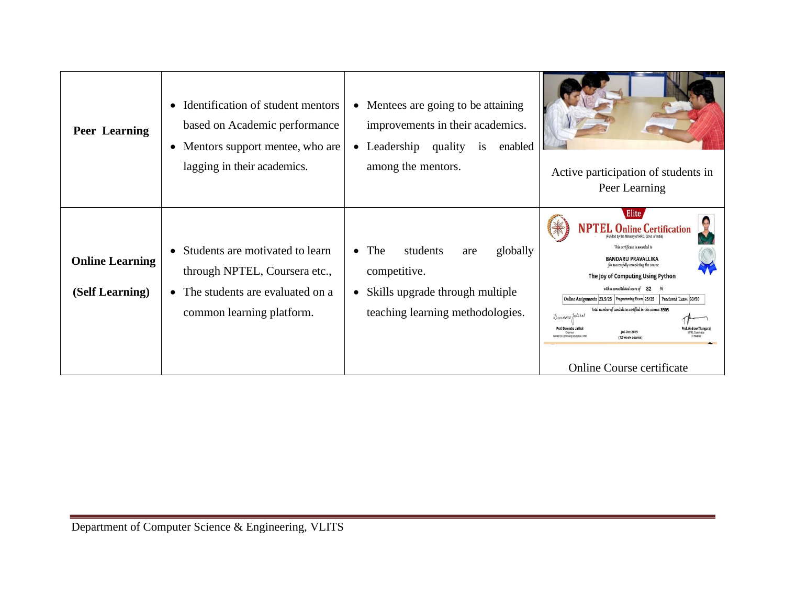| Peer Learning                             | Identification of student mentors<br>$\bullet$<br>based on Academic performance<br>• Mentors support mentee, who are<br>lagging in their academics. | Mentees are going to be attaining.<br>$\bullet$<br>improvements in their academics.<br>enabled<br>$\bullet$ Leadership<br>quality<br>is<br>among the mentors. | Active participation of students in<br>Peer Learning                                                                                                                                                                                                                                                                                                                                                                                                                                                                           |
|-------------------------------------------|-----------------------------------------------------------------------------------------------------------------------------------------------------|---------------------------------------------------------------------------------------------------------------------------------------------------------------|--------------------------------------------------------------------------------------------------------------------------------------------------------------------------------------------------------------------------------------------------------------------------------------------------------------------------------------------------------------------------------------------------------------------------------------------------------------------------------------------------------------------------------|
| <b>Online Learning</b><br>(Self Learning) | Students are motivated to learn<br>through NPTEL, Coursera etc.,<br>• The students are evaluated on a<br>common learning platform.                  | The<br>students<br>globally<br>$\bullet$<br>are<br>competitive.<br>Skills upgrade through multiple<br>$\bullet$<br>teaching learning methodologies.           | Elite<br><b>Online Certification</b><br>This certificate is awarded to<br><b>BANDARU PRAVALLIKA</b><br>for successfully completing the course<br>The Joy of Computing Using Python<br>with a consolidated score of 82 %<br>Online Assignments 23.5/25 Programming Exam 25/25<br>Proctored Exam 33/50<br>Total number of candidates certified in this course: 8505<br>Devendre Jalikal<br>Prof. Devendra Ja<br><b>Jul-Oct 2019</b><br>the fire Continuing Education III<br>(12 week course)<br><b>Online Course certificate</b> |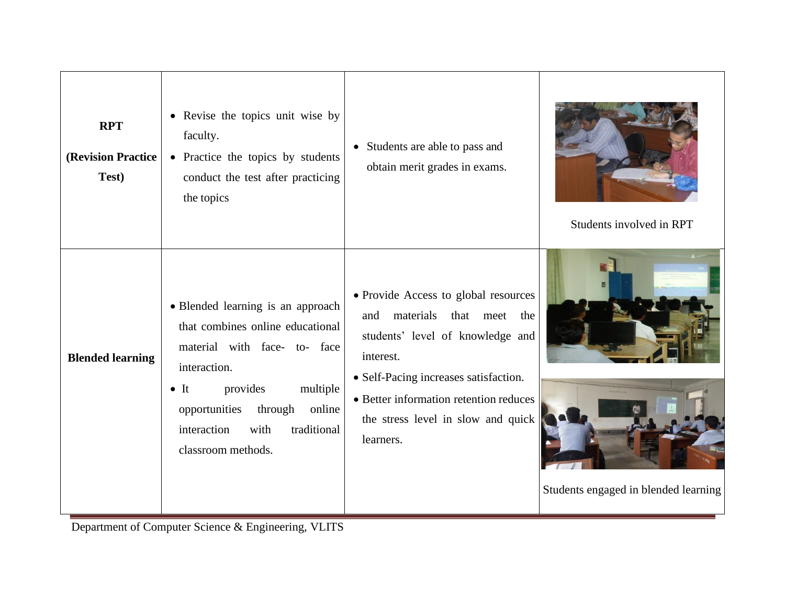| <b>RPT</b><br><b>(Revision Practice)</b><br>Test) | • Revise the topics unit wise by<br>faculty.<br>• Practice the topics by students<br>conduct the test after practicing<br>the topics                                                                                                                            | • Students are able to pass and<br>obtain merit grades in exams.                                                                                                                                                                                                 | Students involved in RPT             |
|---------------------------------------------------|-----------------------------------------------------------------------------------------------------------------------------------------------------------------------------------------------------------------------------------------------------------------|------------------------------------------------------------------------------------------------------------------------------------------------------------------------------------------------------------------------------------------------------------------|--------------------------------------|
| <b>Blended learning</b>                           | • Blended learning is an approach<br>that combines online educational<br>material with face- to- face<br>interaction.<br>provides<br>multiple<br>$\bullet$ It<br>opportunities<br>through<br>online<br>interaction<br>traditional<br>with<br>classroom methods. | • Provide Access to global resources<br>materials that meet<br>and<br>the<br>students' level of knowledge and<br>interest.<br>• Self-Pacing increases satisfaction.<br>• Better information retention reduces<br>the stress level in slow and quick<br>learners. | Students engaged in blended learning |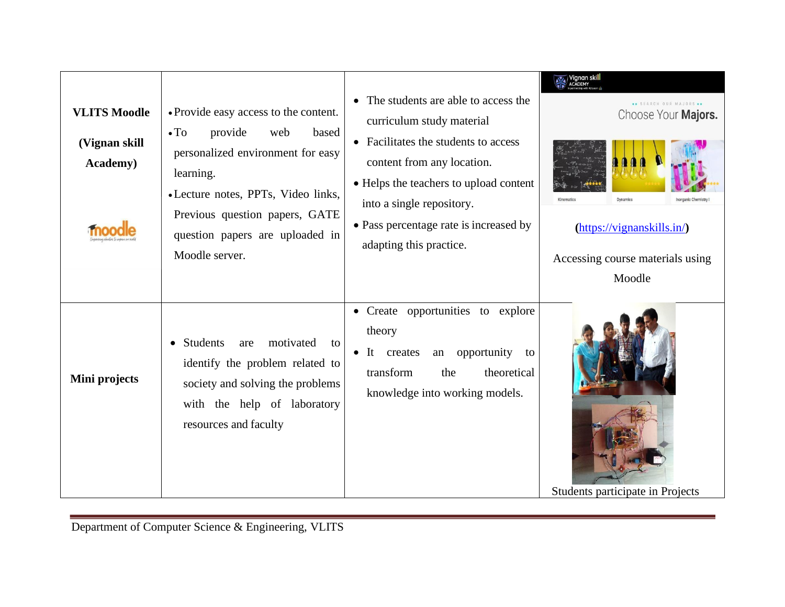| <b>VLITS Moodle</b><br>(Vignan skill<br><b>Academy</b> ) | • Provide easy access to the content.<br>$\bullet$ To<br>provide<br>web<br>based<br>personalized environment for easy<br>learning.<br>• Lecture notes, PPTs, Video links,<br>Previous question papers, GATE<br>question papers are uploaded in<br>Moodle server. | • The students are able to access the<br>curriculum study material<br>• Facilitates the students to access<br>content from any location.<br>• Helps the teachers to upload content<br>into a single repository.<br>• Pass percentage rate is increased by<br>adapting this practice. | SEARCH OUR MAJORS<br>Choose Your Majors.<br>Dynamics<br>Inorganic Chemistry<br>$(\frac{https://vignanskills.in/}{$<br>Accessing course materials using<br>Moodle |
|----------------------------------------------------------|------------------------------------------------------------------------------------------------------------------------------------------------------------------------------------------------------------------------------------------------------------------|--------------------------------------------------------------------------------------------------------------------------------------------------------------------------------------------------------------------------------------------------------------------------------------|------------------------------------------------------------------------------------------------------------------------------------------------------------------|
| Mini projects                                            | Students<br>motivated<br>are<br>to<br>$\bullet$<br>identify the problem related to<br>society and solving the problems<br>with the help of laboratory<br>resources and faculty                                                                                   | • Create opportunities to explore<br>theory<br>opportunity<br>• It creates<br>an<br>to<br>transform<br>theoretical<br>the<br>knowledge into working models.                                                                                                                          | Students participate in Projects                                                                                                                                 |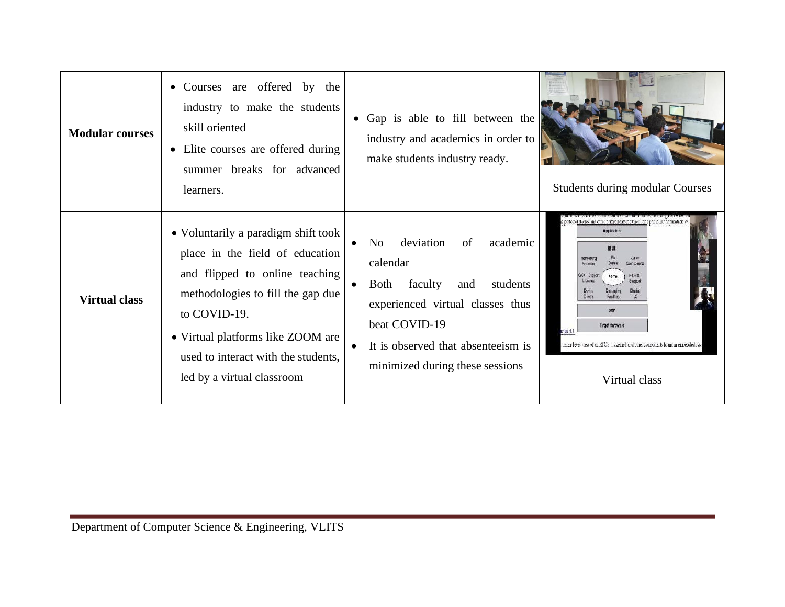| <b>Modular courses</b> | • Courses are offered by the<br>industry to make the students<br>skill oriented<br>• Elite courses are offered during<br>summer breaks for advanced<br>learners.                                                                                                        | • Gap is able to fill between the<br>industry and academics in order to<br>make students industry ready.                                                                                                                      | <b>Students during modular Courses</b>                                                                                                                                                                                                                                                                                                          |
|------------------------|-------------------------------------------------------------------------------------------------------------------------------------------------------------------------------------------------------------------------------------------------------------------------|-------------------------------------------------------------------------------------------------------------------------------------------------------------------------------------------------------------------------------|-------------------------------------------------------------------------------------------------------------------------------------------------------------------------------------------------------------------------------------------------------------------------------------------------------------------------------------------------|
| <b>Virtual class</b>   | • Voluntarily a paradigm shift took<br>place in the field of education<br>and flipped to online teaching<br>methodologies to fill the gap due<br>to COVID-19.<br>• Virtual platforms like ZOOM are<br>used to interact with the students,<br>led by a virtual classroom | deviation<br>N <sub>o</sub><br>of<br>academic<br>calendar<br>faculty<br>Both<br>and<br>students<br>experienced virtual classes thus<br>beat COVID-19<br>It is observed that absenteelsm is<br>minimized during these sessions | g protocoll stacks, and other components regruived for a particular application, a<br>Application<br><b>RTOS</b><br>Oten<br>ketworking<br>Components<br><b>POSX</b><br>Support<br>$D9$ ics<br><b>BEP</b><br>Tangel Hardware<br>eura (Li<br>High-level view of an KTOS, its kernel, and this, components found in embedded syst<br>Virtual class |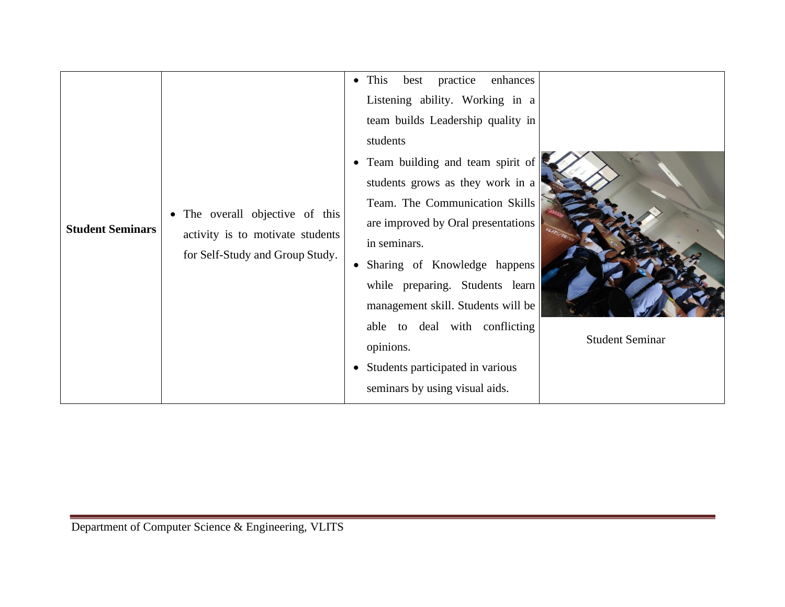| <b>Student Seminars</b> | The overall objective of this<br>$\bullet$<br>activity is to motivate students<br>for Self-Study and Group Study. | enhances<br>$\bullet$ This<br>best practice<br>Listening ability. Working in a<br>team builds Leadership quality in<br>students<br>• Team building and team spirit of<br>students grows as they work in a<br>Team. The Communication Skills<br>are improved by Oral presentations<br>in seminars.<br>Sharing of Knowledge happens<br>while preparing. Students learn<br>management skill. Students will be<br>able to deal with conflicting<br>opinions.<br>Students participated in various<br>seminars by using visual aids. | <b>Student Seminar</b> |
|-------------------------|-------------------------------------------------------------------------------------------------------------------|--------------------------------------------------------------------------------------------------------------------------------------------------------------------------------------------------------------------------------------------------------------------------------------------------------------------------------------------------------------------------------------------------------------------------------------------------------------------------------------------------------------------------------|------------------------|
|-------------------------|-------------------------------------------------------------------------------------------------------------------|--------------------------------------------------------------------------------------------------------------------------------------------------------------------------------------------------------------------------------------------------------------------------------------------------------------------------------------------------------------------------------------------------------------------------------------------------------------------------------------------------------------------------------|------------------------|